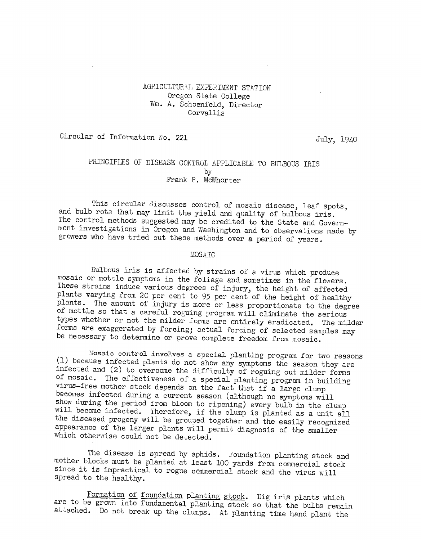### AGRICULTURAL EXPERIMENT STATION Oregon State College Wm. A. Schoenfeld, Director Corvallis

Circular of Information No. 221 July, 1940

## PRINCIPLES OF DISEASE CONTROL APPLICABLE TO BULBOUS IRIS by Frank P. McWhorter

This circular discusses control of mosaic disease, leaf spots, and bulb rots that may limit the yield and quality of bulbous iris. The control methods suggested may be credited to the State and Government investigations in Oregon and Washington and to observations made by growers who have tried out these methods over a period of years.

#### MOSATC

Bulbous iris is affected by strains of a virus which produce mosaic or mottle symptoms in the foliage and sometimes in the flowers. These strains induce various degrees of injury, the height of affected plants varying from 20 per cent to 95 per cent of the height of healthy plants. The amount of injury is more or less proportionate to the degree of mottle so that a careful roguing program will eliminate the serious types whether or not the milder forms are entirely eradicated, The milder forms are exaggerated by forcing; actual forcing of selected samples may be necessary to determine or prove complete freedom from mosaic.

Mosaic control involves a special planting program for two reasons (1) because infected plants do not show any symptoms the season they are infected and (2) to overcome the difficulty of roguing out milder forms of mosaic. The effectiveness of a special planting program in building virus-free mother stock depends on the fact that if a large clump becomes infected during a current season (although no symptoms will show during the period from bloom to ripening) every bulb in the clump will become infected. Therefore, if the clump is planted as a unit all the diseased progeny will be grouped together and the easily recognized appearance of the larger plants will permit diagnosis of the smaller which otherwise could not be detected.

The disease is spread by aphids. Foundation planting stock and mother blocks must be planted at least 100 yards from commercial stock since it is impractical to rogue commercial stock and the virus will spread to the healthy.

Formation of foundation planting stock. Dig iris plants which are to be grown into fundamental planting stock so that the bulbs remain attached. Do not break up the clumps. At planting time hand plant the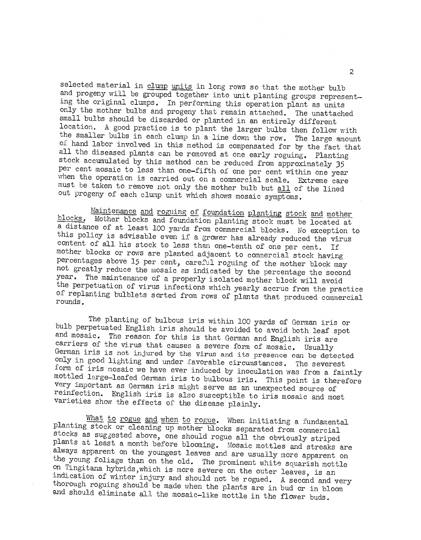selected material in clump units in long rows so that the mother bulb and progeny will be grouped together into unit planting groups representing the original clumps. In performing this operation plant as units only the mother bulbs and progeny that remain attached. The unattached small bulbs should be discarded or planted in an entirely different location. A good practice is to plant the larger bulbs then follow with the smaller bulbs in each clump in a line down the row. The large amount of hand labor involved in this method is compensated for by the fact that all the diseased plants can be removed at one early roguing. Planting stock accumulated by this method can be reduced from approximately 35 per cent mosaic to less than one-fifth of one per cent within one year when the operation is carried out on a commercial scale. Extreme care must be taken to remove not only the mother bulb but all of the lined out progeny of each clump unit which shows mosaic symptoms.

Maintenance and roguing of foundation planting stock and mother blocks. Mother blocks and foundation planting stock must be located at a distance of at least 100 yards from commercial blocks. No exception to this policy is advisable even if a grower has already reduced the virus content of all his stock to less than one-tenth of one per cent. If mother blocks or rows are planted adjacent to commercial stock having percentages above 15 per cent, careful roguing of the mother block may not greatly reduce the mosaic as indicated by the percentage the second year. The maintenance of a properly isolated mother block will avoid the perpetuation of virus infections which yearly accrue from the practice of replanting bulblets sorted from rows of plants that produced commercial rounds.

The planting of bulbous iris within 100 yards of German iris or and mosaic. The reason for this is that German and English iris are carriers of the virus that causes a severe form of mosaic. Usually German iris is not injured by the virus and its presence can be detected<br>only in good lighting and under favorable circumstances. The severest form of iris mosaic we have ever induced by inoculation was from a faintly mottled large-leafed German iris to bulbous iris. This point is therefore very important as German iris might serve as an unexpected source of reinfection. English iris is also susceptible to iris mosaic and most varieties show the effects of the disease plainly.

What to rogue and when to rogue. When initiating a fundamental<br>planting stock or cleaning up mother blocks separated from commercial stocks as suggested above, one should rogue all the obviously striped<br>plants at least a month before blooming. Mosaic mottles and streaks are<br>always apparent on the youngest leaves and are usually more apparent on<br>the youn on Tingitana hybrids, which is more severe on the outer leaves, is an indication of winter injury and should not be rogued. A second and very thorough roguing should be made when the plants are in bud or in bloom and should eliminate all the mosaic-like mottle in the flower buds.

2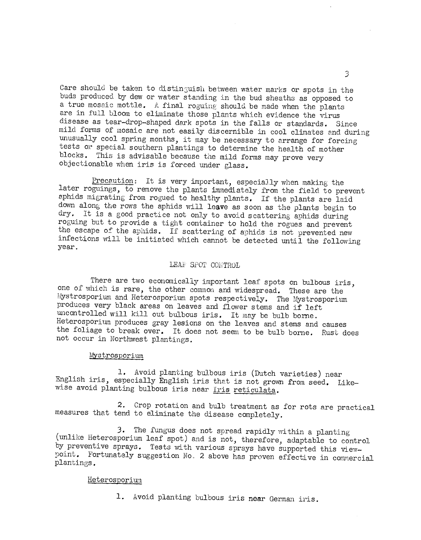Care should be taken to distinguish between water marks or spots in the buds produced by dew or water standing in the bud sheaths as opposed to a true mosaic mottle. A final roguing should be made when the plants are in full bloom to eliminate those plants which evidence the virus disease as tear-drop-shaped dark spots in the falls or standards. Since mild forms of mosaic are not easily discernible in cool climates and during unusually cool spring months, it may be necessary to arrange for forcing tests or special southern plantings to determine the health of mother blocks. This is advisable because the mild forms may prove very objectionable when iris is forced under glass.

Precaution: It is very important, especially when making the later roguings, to remove the plants immediately from the field to prevent aphids migrating from rogued to healthy plants. If the plants are laid down along the rows the aphids will leave as soon as the plants begin to dry. It is a good practice not only to avoid scattering aphids during roguing but to provide a tight container to hold the rogues and prevent the escape of the aphids. If scattering of aphids is not prevented new infections will be initiated which cannot be detected until the following year.

#### LEAF SPOT CONTROL

There are two economically important leaf spots on bulbous iris, one of which is rare, the other common and widespread. These are the Mystrosporium and Heterosporium spots respectively. The Mystrosporium produces very black areas on leaves and flower stems and if left uncontrolled will kill out bulbous iris. It may be bulb borne. Heterosporium produces gray lesions on the leaves and stems and causes the foliage to break over. It does not seem to be bulb borne. Rust does not occur in Northwest plantings.

#### Mystrosporium

1. Avoid planting bulbous iris (Dutch varieties) near English iris, especially English iris that is not grown from seed. Likewise avoid planting bulbous iris near Iris reticulata.

2. Crop rotation and bulb treatment as for rots are practical measures that tend to eliminate the disease completely.

3. The fungus does not spread rapidly within a planting (unlike Heterosporium leaf spot) and is not, therefore, adaptable to control by preventive sprays. Tests with various sprays have supported this viewpoint. Fortunately suggestion No. 2 above has proven effective in comnercial plantings.

#### Heterosporium

1. Avoid planting bulbous iris near German iris.

3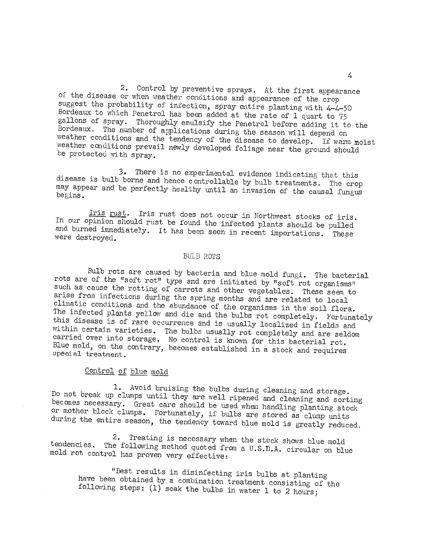2. Control by preventive sprays. At the first appearance of the disease or when weather conditions and appearance of the crop suggest the probability of infection, spray entire planting with  $4-4-50$ Bordeaux to which Penetrol has been added at the rate of 1 quart to 75 gallons of spray. Thoroughly emulsify the Penetrol before adding it to the Bordeaux. The number of applications during the season will depend on<br>weather conditions and the tendency of the disease to develop. If warm moist<br>weather conditions prevail newly developed foliage near the ground should<br>b

3. There is no experimental evidence indicating that this disease is bulb borne and hence controllable by bulb treatments. The crop may appear and be perfectly healthy until an invasion of the causal fungus begins.

Iris rust. Iris rust does not occur in Northwest stocks of iris.<br>In our opinion should rust be found the infected plants should be pulled and burned immediately. It has been seen in recent importations. These were destroyed.

### BULB ROTS

Bulb rots are caused by bacteria and blue mold fungi. The bacterial<br>rots are of the "soft rot" type and are initiated by "soft rot organisms"<br>such as cause the rotting of carrots and other vegetables. These seem to<br>arise f climatic conditions and the abundance of the organisms in the soil flora.<br>The infected plants yellow and die and the bulbs rot completely. Fortunately this disease is of rare occurrence and is usually localized in fields and within certain varieties. The bulbs usually rot completely and are seldom carried over into storage. No control is known for this bacterial rot. Blu

# Control of blue mold

1. Avoid bruising the bulbs during cleaning and storage.<br>Do not break up clumps until they are well ripened and cleaning and sorting<br>becomes necessary. Great care should be used when handling planting stock<br>or mother block

2. Treating is necessary when the stock shows blue mold tendencies. The following method quoted from a U.S.D.A. circular on blue mold rot control has proven very effective:

"Best results in disin.fecting iris bulbs at planting have been obtained by a combination treatment consisting of the following steps:  $(1)$  soak the bulbs in water 1 to 2 hours;